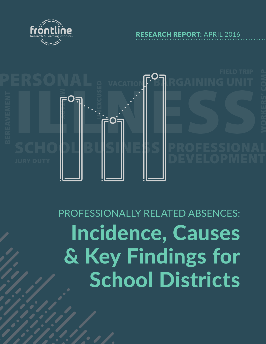

RESEARCH REPORT: APRIL 2016



# PROFESSIONALLY RELATED ABSENCES: Incidence, Causes & Key Findings for School Districts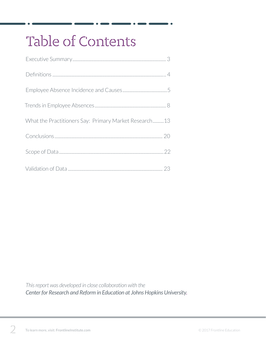## Table of Contents

| What the Practitioners Say: Primary Market Research13 |
|-------------------------------------------------------|
|                                                       |
|                                                       |
|                                                       |

*This report was developed in close collaboration with the Center for Research and Reform in Education at Johns Hopkins University.*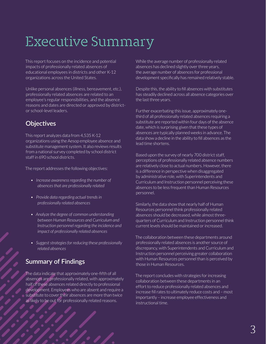## Executive Summary

This report focuses on the incidence and potential impacts of professionally related absences of educational employees in districts and other K-12 organizations across the United States.

Unlike personal absences (illness, bereavement, etc.), professionally related absences are related to an employee's regular responsibilities, and the absence reasons and dates are directed or approved by districtor school-level leaders.

#### **Objectives**

This report analyzes data from 4,535 K-12 organizations using the Aesop employee absence and substitute management system. It also reviews results from a national survey completed by school district staff in 690 school districts.

The report addresses the following objectives:

- *• Increase awareness regarding the number of absences that are professionally related*
- *• Provide data regarding actual trends in professionally related absences*
- *• Analyze the degree of common understanding between Human Resources and Curriculum and Instruction personnel regarding the incidence and impact of professionally related absences*
- *• Suggest strategies for reducing these professionally related absences*

#### **Summary of Findings**

The data indicate that approximately one-fifth of all absences are professionally related, with approximately half of these absences related directly to professional development. Employees who are absent and require a substitute to cover their absences are more than twice as likely to be out for professionally related reasons.

While the average number of professionally related absences has declined slightly over three years, the average number of absences for professional development specifically has remained relatively stable.

Despite this, the ability to fill absences with substitutes has steadily declined across all absence categories over the last three years.

Further exacerbating this issue, approximately onethird of all professionally related absences requiring a substitute are reported within four days of the absence date, which is surprising given that these types of absences are typically planned weeks in advance. The data show a decline in the ability to fill absences as the lead time shortens.

Based upon the survey of nearly 700 district staff, perceptions of professionally related absence numbers are relatively close to actual numbers. However, there is a difference in perspective when disaggregated by administrative role, with Superintendents and Curriculum and Instruction personnel perceiving these absences to be less frequent than Human Resources personnel.

Similarly, the data show that nearly half of Human Resources personnel think professionally related absences should be decreased, while almost threequarters of Curriculum and Instruction personnel think current levels should be maintained or increased.

The collaboration between these departments around professionally related absences is another source of discrepancy, with Superintendents and Curriculum and Instruction personnel perceiving greater collaboration with Human Resources personnel than is perceived by those in Human Resources.

The report concludes with strategies for increasing collaboration between these departments in an effort to reduce professionally related absences and increase fill rates to ultimately reduce costs and – most importantly – increase employee effectiveness and instructional time.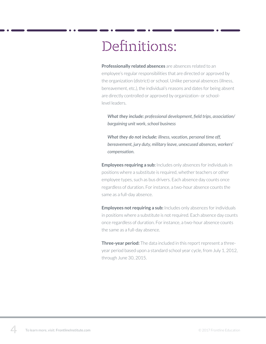## Definitions:

**Professionally related absences** are absences related to an employee's regular responsibilities that are directed or approved by the organization (district) or school. Unlike personal absences (illness, bereavement, etc.), the individual's reasons and dates for being absent are directly controlled or approved by organization- or schoollevel leaders.

*What they include: professional development, field trips, association/ bargaining unit work, school business*

*What they do not include: illness, vacation, personal time off, bereavement, jury duty, military leave, unexcused absences, workers' compensation.*

**Employees requiring a sub:** Includes only absences for individuals in positions where a substitute is required, whether teachers or other employee types, such as bus drivers. Each absence day counts once regardless of duration. For instance, a two-hour absence counts the same as a full-day absence.

**Employees not requiring a sub:** Includes only absences for individuals in positions where a substitute is not required. Each absence day counts once regardless of duration. For instance, a two-hour absence counts the same as a full-day absence.

**Three-year period:** The data included in this report represent a threeyear period based upon a standard school year cycle, from July 1, 2012, through June 30, 2015.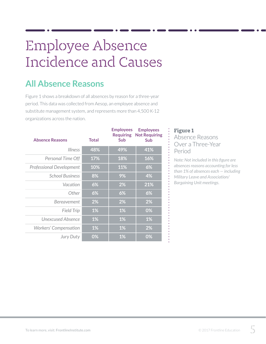## Employee Absence Incidence and Causes

### **All Absence Reasons**

Figure 1 shows a breakdown of all absences by reason for a three-year period. This data was collected from Aesop, an employee absence and substitute management system, and represents more than 4,500 K-12 organizations across the nation.

| <b>Absence Reasons</b>          | <b>Total</b> | <b>Employees</b><br><b>Requiring</b><br><b>Sub</b> | <b>Employees</b><br><b>Not Requiring</b><br><b>Sub</b> |
|---------------------------------|--------------|----------------------------------------------------|--------------------------------------------------------|
| <b>Illness</b>                  | 48%          | 49%                                                | 41%                                                    |
| Personal Time Off               | <b>17%</b>   | 18%                                                | 16%                                                    |
| <b>Professional Development</b> | 10%          | 11%                                                | 6%                                                     |
| <b>School Business</b>          | 8%           | 9%                                                 | 4%                                                     |
| Vacation                        | 6%           | 2%                                                 | 21%                                                    |
| Other                           | 6%           | 6%                                                 | 6%                                                     |
| Bereavement                     | 2%           | 2%                                                 | 2%                                                     |
| <b>Field Trip</b>               | 1%           | 1%                                                 | 0%                                                     |
| Unexcused Absence               | 1%           | 1%                                                 | 1%                                                     |
| <b>Workers' Compensation</b>    | $1\%$        | 1%                                                 | 2%                                                     |
| <b>Jury Duty</b>                | 0%           | 1%                                                 | 0%                                                     |

#### **Figure 1**

Absence Reasons Over a Three-Year Period

*Note: Not included in this figure are absences reasons accounting for less than 1% of absences each — including Military Leave and Association/ Bargaining Unit meetings.*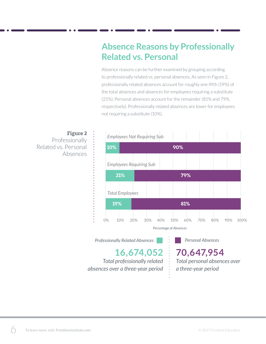### **Absence Reasons by Professionally Related vs. Personal**

Absence reasons can be further examined by grouping according to professionally related vs. personal absences. As seen in Figure 2, professionally related absences account for roughly one-fifth (19%) of the total absences and absences for employees requiring a substitute (21%). Personal absences account for the remainder (81% and 79%, respectively). Professionally related absences are lower for employees not requiring a substitute (10%).



*Professionally Related Absences* **Personal Absences** 

**16,674,052** *Total professionally related absences over a three-year period*

**70,647,954** *Total personal absences over a three-year period*

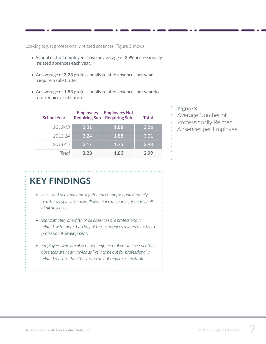Looking at just professionally related absences, Figure 3 shows:

- School district employees have an average of **2.99** professionally related absences each year.
- An average of **3.23** professionally related absences per year require a substitute.
- An average of **1.83** professionally related absences per year do not require a substitute.

| <b>School Year</b> | <b>Employees</b><br><b>Requiring Sub</b> | <b>Employees Not</b><br><b>Requiring Sub</b> | <b>Total</b> |
|--------------------|------------------------------------------|----------------------------------------------|--------------|
| 2012-13            | 3.31                                     | 1.88                                         | 3.06         |
| 2013-14            | 3.24                                     | 1.88                                         | 3.01         |
| 2014-15            | 3.17                                     | 1.75                                         | 2.93         |
| Total              | 3.23                                     | 1.83                                         | 2.99         |

#### **Figure 3**

Average Number of Professionally Related Absences per Employee

### **KEY FINDINGS**

- *• Illness and personal time together account for approximately two-thirds of all absences. Illness alone accounts for nearly half of all absences.*
- *• Approximately one-fifth of all absences are professionally related, with more than half of these absences related directly to professional development.*
- *• Employees who are absent and require a substitute to cover their absences are nearly twice as likely to be out for professionally related reasons than those who do not require a substitute.*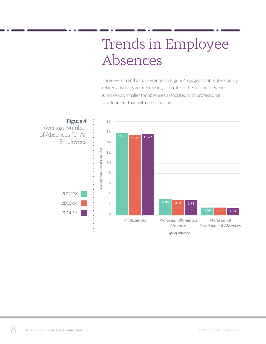## Trends in Employee Absences

Three-year trend data presented in Figure 4 suggest that professionally related absences are decreasing. The rate of the decline, however, is noticeably smaller for absences associated with professional development than with other reasons.

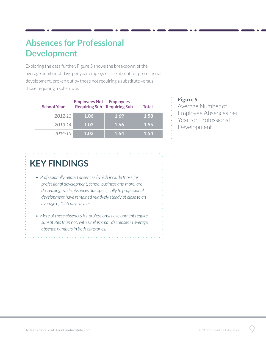### **Absences for Professional Development**

Exploring the data further, Figure 5 shows the breakdown of the average number of days per year employees are absent for professional development, broken out by those not requiring a substitute versus those requiring a substitute.

| <b>School Year</b> | <b>Employees Not</b><br><b>Requiring Sub Requiring Sub</b> | <b>Employees</b> | Total |
|--------------------|------------------------------------------------------------|------------------|-------|
| 2012-13            | 1.06                                                       | 1.69             | 1.58  |
| 2013-14            | 1.03                                                       | 1.66             | 1.55  |
| 2014-15            | 1.02                                                       | 1.64             | 1.54  |

#### **Figure 5**

Average Number of Employee Absences per Year for Professional Development

### **KEY FINDINGS**

- *• Professionally related absences (which include those for professional development, school business and more) are decreasing, while absences due specifically to professional development have remained relatively steady at close to an average of 1.55 days a year.*
- *• More of these absences for professional development require substitutes than not, with similar, small decreases in average absence numbers in both categories.*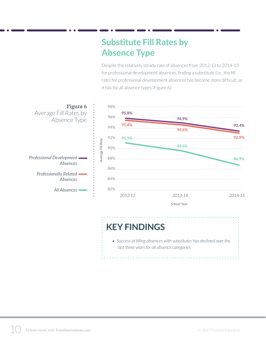### **Substitute Fill Rates by Absence Type**

Despite the relatively steady rate of absences from 2012-13 to 2014-15 for professional development absences, finding a substitute (i.e., the fill rate) for professional development absences has become more difficult, as it has for all absence types (Figure 6):



*• Success at filling absences with substitutes has declined over the last three years for all absence categories.*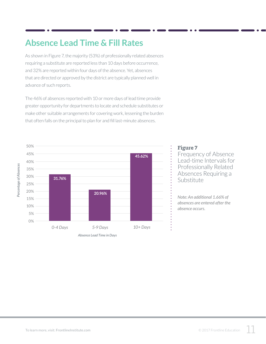### **Absence Lead Time & Fill Rates**

As shown in Figure 7, the majority (53%) of professionally related absences requiring a substitute are reported less than 10 days before occurrence, and 32% are reported within four days of the absence. Yet, absences that are directed or approved by the district are typically planned well in advance of such reports.

The 46% of absences reported with 10 or more days of lead time provide greater opportunity for departments to locate and schedule substitutes or make other suitable arrangements for covering work, lessening the burden that often falls on the principal to plan for and fill last-minute absences.



#### **Figure 7**

Frequency of Absence Lead-time Intervals for Professionally Related Absences Requiring a Substitute

*Note: An additional 1.66% of absences are entered after the absence occurs.*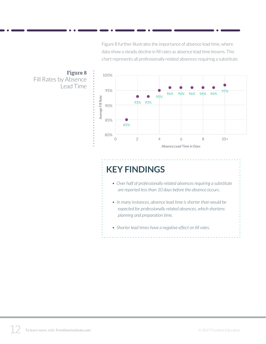Figure 8 further illustrates the importance of absence lead time, where data show a steady decline in fill rates as absence lead time lessens. This chart represents all professionally related absences requiring a substitute.



## **KEY FINDINGS**

- *• Over half of professionally related absences requiring a substitute are reported less than 10 days before the absence occurs.*
- *• In many instances, absence lead time is shorter than would be expected for professionally related absences, which shortens planning and preparation time.*
- *• Shorter lead times have a negative effect on fill rates.*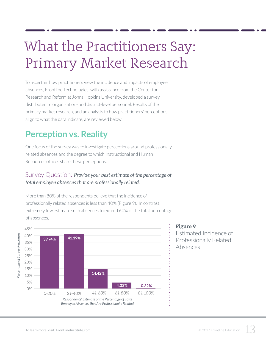## What the Practitioners Say: Primary Market Research

To ascertain how practitioners view the incidence and impacts of employee absences, Frontline Technologies, with assistance from the Center for Research and Reform at Johns Hopkins University, developed a survey distributed to organization- and district-level personnel. Results of the primary market research, and an analysis to how practitioners' perceptions align to what the data indicate, are reviewed below.

### **Perception vs. Reality**

One focus of the survey was to investigate perceptions around professionally related absences and the degree to which Instructional and Human Resources offices share these perceptions.

#### Survey Question: *Provide your best estimate of the percentage of total employee absences that are professionally related.*

More than 80% of the respondents believe that the incidence of professionally related absences is less than 40% (Figure 9). In contrast, extremely few estimate such absences to exceed 60% of the total percentage of absences.



#### **Figure 9**

Estimated Incidence of Professionally Related Absences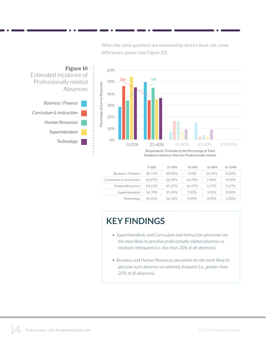When the same questions are examined by district-level role, some differences appear (see Figure 10).





*Respondents' Estimate of the Percentage of Total Employee Absences that Are Professionally related*

|                          | $0 - 20%$ | 21-40% | 41-60% | 61-80% | 81-100%  |
|--------------------------|-----------|--------|--------|--------|----------|
| Business / Finance       | 28.57%    | 50.00% | 7.14%  | 14.29% | $0.00\%$ |
| Curriculum & Instruction | 46.67%    | 34.29% | 16.19% | 2.86%  | $0.00\%$ |
| Human Resources          | 34.13%    | 45.07% | 16.27% | 4.27%  | 0.27%    |
| Superintendent           | 54.39%    | 35.09% | 7.02%  | 3.51%  | $0.00\%$ |
| Technology               | 45.45%    | 36.36% | 9.09%  | 9.09%  | 0.00%    |

### **KEY FINDINGS**

- *• Superintendents and Curriculum and Instruction personnel are the most likely to perceive professionally related absences as relatively infrequent (i.e., less than 20% of all absences).*
- *• Business and Human Resources personnel are the most likely to perceive such absences as relatively frequent (i.e., greater than 20% of all absences).*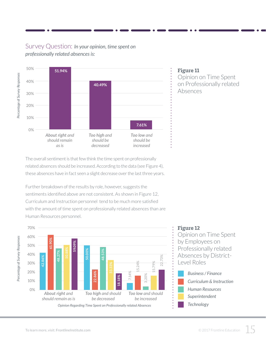#### Survey Question: *In your opinion, time spent on professionally related absences is:*



#### **Figure 11** Opinion on Time Spent on Professionally related Absences

The overall sentiment is that few think the time spent on professionally related absences should be increased. According to the data (see Figure 4), these absences have in fact seen a slight decrease over the last three years.

Further breakdown of the results by role, however, suggests the sentiments identified above are not consistent. As shown in Figure 12, Curriculum and Instruction personnel tend to be much more satisfied with the amount of time spent on professionally related absences than are Human Resources personnel.



#### **Figure 12**

Opinion on Time Spent by Employees on Professionally related Absences by District-Level Roles

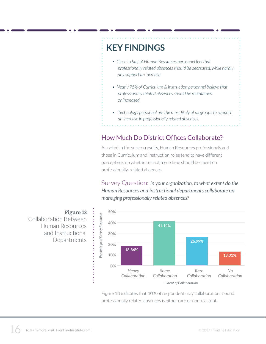## **KEY FINDINGS**

- *• Close to half of Human Resources personnel feel that professionally related absences should be decreased, while hardly any support an increase.*
- *• Nearly 75% of Curriculum & Instruction personnel believe that professionally related absences should be maintained or increased.*
- *• Technology personnel are the most likely of all groups to support an increase in professionally related absences.*

#### How Much Do District Offices Collaborate?

As noted in the survey results, Human Resources professionals and those in Curriculum and Instruction roles tend to have different perceptions on whether or not more time should be spent on professionally-related absences.

Survey Question: *In your organization, to what extent do the Human Resources and Instructional departments collaborate on managing professionally related absences?*

50% **Figure 13** Percentage of Survey Responses Collaboration Between 40% Human Resources and Instructional 30% **Departments** 20%



Figure 13 indicates that 40% of respondents say collaboration around professionally related absences is either rare or non-existent.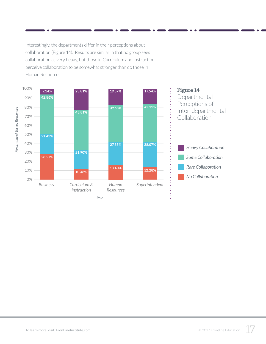Interestingly, the departments differ in their perceptions about collaboration (Figure 14). Results are similar in that no group sees collaboration as very heavy, but those in Curriculum and Instruction perceive collaboration to be somewhat stronger than do those in Human Resources.

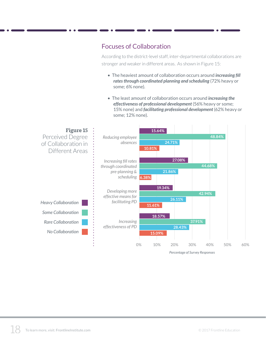#### Focuses of Collaboration

According to the district-level staff, inter-departmental collaborations are stronger and weaker in different areas. As shown in Figure 15:

- The heaviest amount of collaboration occurs around *increasing fill rates through coordinated planning and scheduling* (72% heavy or some; 6% none).
- The least amount of collaboration occurs around *increasing the effectiveness of professional development* (56% heavy or some; 15% none) and *facilitating professional development* (62% heavy or some; 12% none).



*Percentage of Survey Responses*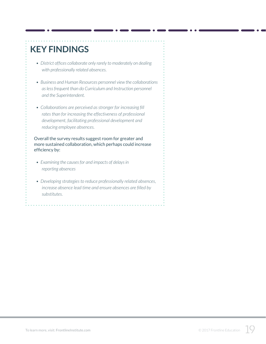## **KEY FINDINGS**

- *• District offices collaborate only rarely to moderately on dealing with professionally related absences.*
- *• Business and Human Resources personnel view the collaborations as less frequent than do Curriculum and Instruction personnel and the Superintendent.*
- *• Collaborations are perceived as stronger for increasing fill rates than for increasing the effectiveness of professional development, facilitating professional development and reducing employee absences.*

Overall the survey results suggest room for greater and more sustained collaboration, which perhaps could increase efficiency by:

- *• Examining the causes for and impacts of delays in reporting absences*
- *• Developing strategies to reduce professionally related absences, increase absence lead time and ensure absences are filled by substitutes.*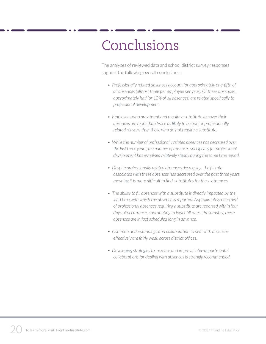## Conclusions

The analyses of reviewed data and school district survey responses support the following overall conclusions:

- *• Professionally related absences account for approximately one-fifth of all absences (almost three per employee per year). Of these absences, approximately half (or 10% of all absences) are related specifically to professional development.*
- *• Employees who are absent and require a substitute to cover their absences are more than twice as likely to be out for professionally related reasons than those who do not require a substitute.*
- *• While the number of professionally related absences has decreased over the last three years, the number of absences specifically for professional development has remained relatively steady during the same time period.*
- *• Despite professionally related absences decreasing, the fill rate associated with these absences has decreased over the past three years, meaning it is more difficult to find substitutes for these absences.*
- *• The ability to fill absences with a substitute is directly impacted by the*  lead time with which the absence is reported. Approximately one-third *of professional absences requiring a substitute are reported within four days of occurrence, contributing to lower fill rates. Presumably, these absences are in fact scheduled long in advance.*
- *• Common understandings and collaboration to deal with absences effectively are fairly weak across district offices.*
- *• Developing strategies to increase and improve inter-departmental collaborations for dealing with absences is strongly recommended.*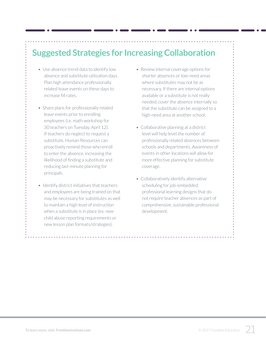## **Suggested Strategies for Increasing Collaboration**

- Use absence trend data to identify low absence and substitute utilization days. Plan high attendance professionally related leave events on these days to increase fill rates.
- Share plans for professionally related leave events prior to enrolling employees (i.e. math workshop for 30 teachers on Tuesday, April 12). If teachers do neglect to request a substitute, Human Resources can proactively remind those who enroll to enter the absence, increasing the likelihood of finding a substitute and reducing last-minute planning for principals.
- Identify district initiatives that teachers and employees are being trained on that may be necessary for substitutes as well to maintain a high level of instruction when a substitute is in place (ex: new child abuse reporting requirements or new lesson plan formats/strategies).
- Review internal coverage options for shorter absences or low-need areas where substitutes may not be as necessary. If there are internal options available or a substitute is not really needed, cover the absence internally so that the substitute can be assigned to a high-need area at another school.
- Collaborative planning at a district level will help level the number of professionally related absences between schools and departments. Awareness of events in other locations will allow for more effective planning for substitute coverage.
- Collaboratively identify alternative scheduling for job-embedded professional learning designs that do not require teacher absences as part of comprehensive, sustainable professional development.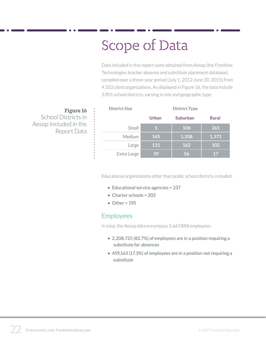## Scope of Data

Data included in this report were obtained from Aesop (the Frontline Technologies teacher absence and substitute placement database), compiled over a three-year period (July 1, 2012-June 30, 2015) from 4,553 client organizations. As displayed in Figure 16, the data include 3,901 school districts, varying in size and geographic type.

**Figure 16** School Districts in Aesop Included in the Report Data

| <b>District Size</b> | <b>District Type</b> |                 |              |  |
|----------------------|----------------------|-----------------|--------------|--|
|                      | <b>Urban</b>         | <b>Suburban</b> | <b>Rural</b> |  |
| Small                | 5                    | 106             | 361          |  |
| Medium               | 145                  | 1,108           | 1,571        |  |
| Large                | 131                  | 162             | 102          |  |
| Extra Large          | 59                   | 56              | 17           |  |

Educational organizations other than public school districts included:

- Educational service agencies = 237
- Charter schools = 202
- $\bullet$  Other = 195

#### Employees

In total, the Aesop data encompass 2,667,888 employees.

- 2,208,725 (82.7%) of employees are in a position requiring a substitute for absences
- 459,163 (17.3%) of employees are in a position not requiring a substitute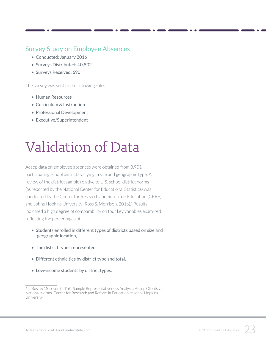#### Survey Study on Employee Absences

- Conducted: January 2016
- Surveys Distributed: 40,802
- Surveys Received: 690

The survey was sent to the following roles:

- Human Resources
- Curriculum & Instruction
- Professional Development
- Executive/Superintendent

## Validation of Data

Aesop data on employee absences were obtained from 3,901 participating school districts varying in size and geographic type. A review of the district sample relative to U.S. school district norms (as reported by the National Center for Educational Statistics) was conducted by the Center for Research and Reform in Education (CRRE) and Johns Hopkins University (Ross & Morrison, 2016).<sup>1</sup> Results indicated a high degree of comparability on four key variables examined reflecting the percentages of:

- Students enrolled in different types of districts based on size and geographic location,
- The district types represented,
- Different ethnicities by district type and total,
- Low-income students by district types.

Ross & Morrison (2016). Sample Representativeness Analysis: Aesop Clients vs. National Norms. Center for Research and Reform in Education at Johns Hopkins University.